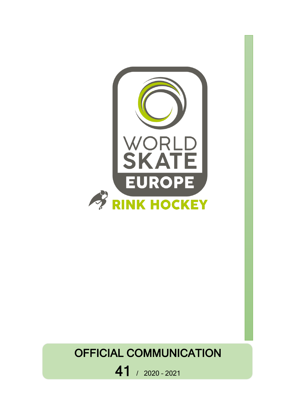

## OFFICIAL COMMUNICATION

41 / 2020 – <sup>2021</sup>